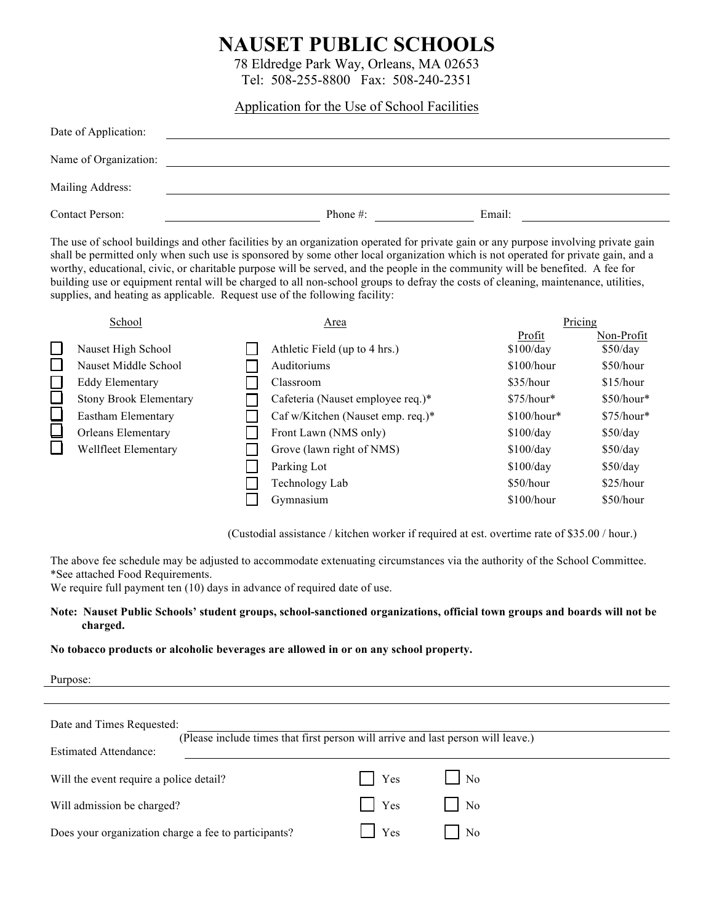# **NAUSET PUBLIC SCHOOLS**

78 Eldredge Park Way, Orleans, MA 02653 Tel: 508-255-8800 Fax: 508-240-2351

## Application for the Use of School Facilities

| Date of Application:   |             |        |  |
|------------------------|-------------|--------|--|
| Name of Organization:  |             |        |  |
| Mailing Address:       |             |        |  |
| <b>Contact Person:</b> | Phone $#$ : | Email: |  |

The use of school buildings and other facilities by an organization operated for private gain or any purpose involving private gain shall be permitted only when such use is sponsored by some other local organization which is not operated for private gain, and a worthy, educational, civic, or charitable purpose will be served, and the people in the community will be benefited. A fee for building use or equipment rental will be charged to all non-school groups to defray the costs of cleaning, maintenance, utilities, supplies, and heating as applicable. Request use of the following facility:

| School                        | Area                              | Pricing      |             |
|-------------------------------|-----------------------------------|--------------|-------------|
|                               |                                   | Profit       | Non-Profit  |
| Nauset High School            | Athletic Field (up to 4 hrs.)     | \$100/day    | \$50/day    |
| Nauset Middle School          | Auditoriums                       | $$100/h$ our | \$50/hour   |
| <b>Eddy Elementary</b>        | Classroom                         | \$35/hour    | \$15/hour   |
| <b>Stony Brook Elementary</b> | Cafeteria (Nauset employee req.)* | $$75/hour*$  | $$50/hour*$ |
| Eastham Elementary            | Caf w/Kitchen (Nauset emp. req.)* | $$100/hour*$ | $$75/hour*$ |
| <b>Orleans Elementary</b>     | Front Lawn (NMS only)             | \$100/day    | \$50/day    |
| Wellfleet Elementary          | Grove (lawn right of NMS)         | \$100/day    | \$50/day    |
|                               | Parking Lot                       | \$100/day    | \$50/day    |
|                               | Technology Lab                    | \$50/hour    | \$25/hour   |
|                               | Gymnasium                         | $$100/h$ our | \$50/hour   |

(Custodial assistance / kitchen worker if required at est. overtime rate of \$35.00 / hour.)

The above fee schedule may be adjusted to accommodate extenuating circumstances via the authority of the School Committee. \*See attached Food Requirements.

We require full payment ten (10) days in advance of required date of use.

### **Note: Nauset Public Schools' student groups, school-sanctioned organizations, official town groups and boards will not be charged.**

#### **No tobacco products or alcoholic beverages are allowed in or on any school property.**

| Purpose:                                                                         |                       |                  |
|----------------------------------------------------------------------------------|-----------------------|------------------|
|                                                                                  |                       |                  |
| Date and Times Requested:                                                        |                       |                  |
| (Please include times that first person will arrive and last person will leave.) |                       |                  |
| <b>Estimated Attendance:</b>                                                     |                       |                  |
| Will the event require a police detail?                                          | Yes<br>$\blacksquare$ | $\overline{N_0}$ |
| Will admission be charged?                                                       | Yes                   | No               |
| Does your organization charge a fee to participants?                             | Yes                   | $\overline{N}$   |